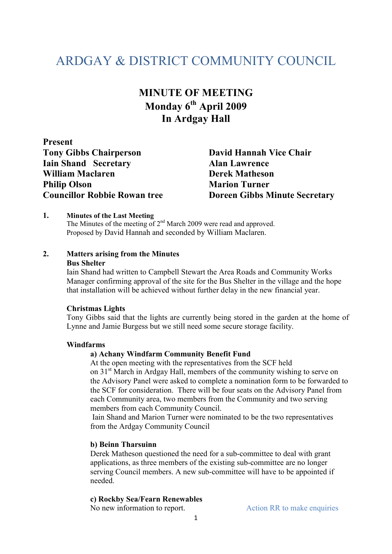# ARDGAY & DISTRICT COMMUNITY COUNCIL

## **MINUTE OF MEETING Monday 6th April 2009 In Ardgay Hall**

**Present Tony Gibbs Chairperson David Hannah Vice Chair Iain Shand Secretary Alan Lawrence William Maclaren Derek Matheson Philip Olson Marion Turner** 

**Councillor Robbie Rowan tree Doreen Gibbs Minute Secretary** 

#### **1. Minutes of the Last Meeting**

The Minutes of the meeting of 2<sup>nd</sup> March 2009 were read and approved. Proposed by David Hannah and seconded by William Maclaren.

#### **2. Matters arising from the Minutes**

#### **Bus Shelter**

Iain Shand had written to Campbell Stewart the Area Roads and Community Works Manager confirming approval of the site for the Bus Shelter in the village and the hope that installation will be achieved without further delay in the new financial year.

#### **Christmas Lights**

Tony Gibbs said that the lights are currently being stored in the garden at the home of Lynne and Jamie Burgess but we still need some secure storage facility.

#### **Windfarms**

#### **a) Achany Windfarm Community Benefit Fund**

 At the open meeting with the representatives from the SCF held on 31<sup>st</sup> March in Ardgay Hall, members of the community wishing to serve on the Advisory Panel were asked to complete a nomination form to be forwarded to the SCF for consideration. There will be four seats on the Advisory Panel from each Community area, two members from the Community and two serving members from each Community Council.

 Iain Shand and Marion Turner were nominated to be the two representatives from the Ardgay Community Council

#### **b) Beinn Tharsuinn**

Derek Matheson questioned the need for a sub-committee to deal with grant applications, as three members of the existing sub-committee are no longer serving Council members. A new sub-committee will have to be appointed if needed.

#### **c) Rockby Sea/Fearn Renewables**

No new information to report. Action RR to make enquiries